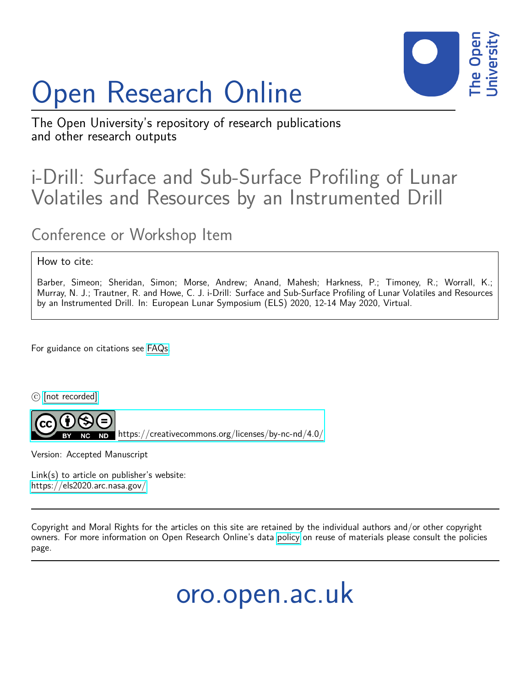## Open Research Online



The Open University's repository of research publications and other research outputs

## i-Drill: Surface and Sub-Surface Profiling of Lunar Volatiles and Resources by an Instrumented Drill

## Conference or Workshop Item

## How to cite:

Barber, Simeon; Sheridan, Simon; Morse, Andrew; Anand, Mahesh; Harkness, P.; Timoney, R.; Worrall, K.; Murray, N. J.; Trautner, R. and Howe, C. J. i-Drill: Surface and Sub-Surface Profiling of Lunar Volatiles and Resources by an Instrumented Drill. In: European Lunar Symposium (ELS) 2020, 12-14 May 2020, Virtual.

For guidance on citations see [FAQs.](http://oro.open.ac.uk/help/helpfaq.html)

c [\[not recorded\]](http://oro.open.ac.uk/help/helpfaq.html#Unrecorded_information_on_coversheet)



<https://creativecommons.org/licenses/by-nc-nd/4.0/>

Version: Accepted Manuscript

Link(s) to article on publisher's website: <https://els2020.arc.nasa.gov/>

Copyright and Moral Rights for the articles on this site are retained by the individual authors and/or other copyright owners. For more information on Open Research Online's data [policy](http://oro.open.ac.uk/policies.html) on reuse of materials please consult the policies page.

oro.open.ac.uk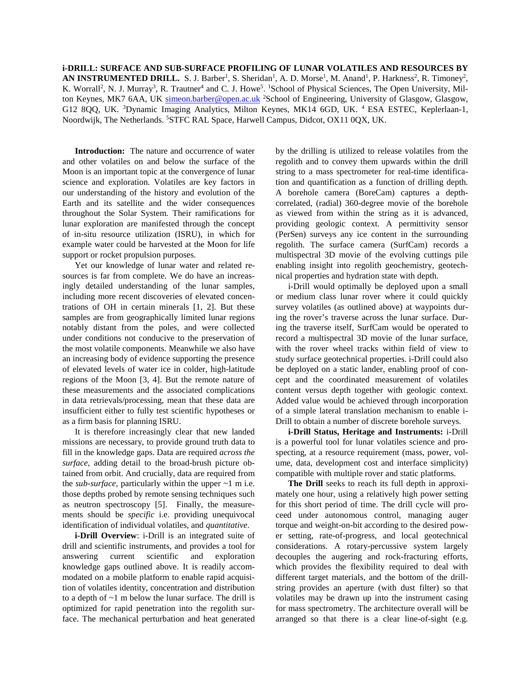**i-DRILL: SURFACE AND SUB-SURFACE PROFILING OF LUNAR VOLATILES AND RESOURCES BY**  AN INSTRUMENTED DRILL. S. J. Barber<sup>1</sup>, S. Sheridan<sup>1</sup>, A. D. Morse<sup>1</sup>, M. Anand<sup>1</sup>, P. Harkness<sup>2</sup>, R. Timoney<sup>2</sup>, K. Worrall<sup>2</sup>, N. J. Murray<sup>3</sup>, R. Trautner<sup>4</sup> and C. J. Howe<sup>5</sup>. <sup>1</sup>School of Physical Sciences, The Open University, Milton Keynes, MK7 6AA, UK [simeon.barber@open.ac.uk](mailto:simeon.barber@open.ac.uk) <sup>2</sup>School of Engineering, University of Glasgow, Glasgow, G12 8QQ, UK. <sup>3</sup>Dynamic Imaging Analytics, Milton Keynes, MK14 6GD, UK. <sup>4</sup> ESA ESTEC, Keplerlaan-1, Noordwijk, The Netherlands. <sup>5</sup>STFC RAL Space, Harwell Campus, Didcot, OX11 0QX, UK.

**Introduction:** The nature and occurrence of water and other volatiles on and below the surface of the Moon is an important topic at the convergence of lunar science and exploration. Volatiles are key factors in our understanding of the history and evolution of the Earth and its satellite and the wider consequences throughout the Solar System. Their ramifications for lunar exploration are manifested through the concept of in-situ resource utilization (ISRU), in which for example water could be harvested at the Moon for life support or rocket propulsion purposes.

Yet our knowledge of lunar water and related resources is far from complete. We do have an increasingly detailed understanding of the lunar samples, including more recent discoveries of elevated concentrations of OH in certain minerals [1, 2]. But these samples are from geographically limited lunar regions notably distant from the poles, and were collected under conditions not conducive to the preservation of the most volatile components. Meanwhile we also have an increasing body of evidence supporting the presence of elevated levels of water ice in colder, high-latitude regions of the Moon [3, 4]. But the remote nature of these measurements and the associated complications in data retrievals/processing, mean that these data are insufficient either to fully test scientific hypotheses or as a firm basis for planning ISRU.

It is therefore increasingly clear that new landed missions are necessary, to provide ground truth data to fill in the knowledge gaps. Data are required *across the surface*, adding detail to the broad-brush picture obtained from orbit. And crucially, data are required from the *sub-surface*, particularly within the upper ~1 m i.e. those depths probed by remote sensing techniques such as neutron spectroscopy [5]. Finally, the measurements should be *specific* i.e. providing unequivocal identification of individual volatiles, and *quantitative*.

**i-Drill Overview**: i-Drill is an integrated suite of drill and scientific instruments, and provides a tool for answering current scientific and exploration knowledge gaps outlined above. It is readily accommodated on a mobile platform to enable rapid acquisition of volatiles identity, concentration and distribution to a depth of  $\sim$ 1 m below the lunar surface. The drill is optimized for rapid penetration into the regolith surface. The mechanical perturbation and heat generated

by the drilling is utilized to release volatiles from the regolith and to convey them upwards within the drill string to a mass spectrometer for real-time identification and quantification as a function of drilling depth. A borehole camera (BoreCam) captures a depthcorrelated, (radial) 360-degree movie of the borehole as viewed from within the string as it is advanced, providing geologic context. A permittivity sensor (PerSen) surveys any ice content in the surrounding regolith. The surface camera (SurfCam) records a multispectral 3D movie of the evolving cuttings pile enabling insight into regolith geochemistry, geotechnical properties and hydration state with depth.

i-Drill would optimally be deployed upon a small or medium class lunar rover where it could quickly survey volatiles (as outlined above) at waypoints during the rover's traverse across the lunar surface. During the traverse itself, SurfCam would be operated to record a multispectral 3D movie of the lunar surface, with the rover wheel tracks within field of view to study surface geotechnical properties. i-Drill could also be deployed on a static lander, enabling proof of concept and the coordinated measurement of volatiles content versus depth together with geologic context. Added value would be achieved through incorporation of a simple lateral translation mechanism to enable i-Drill to obtain a number of discrete borehole surveys.

**i-Drill Status, Heritage and Instruments:** i-Drill is a powerful tool for lunar volatiles science and prospecting, at a resource requirement (mass, power, volume, data, development cost and interface simplicity) compatible with multiple rover and static platforms.

**The Drill** seeks to reach its full depth in approximately one hour, using a relatively high power setting for this short period of time. The drill cycle will proceed under autonomous control, managing auger torque and weight-on-bit according to the desired power setting, rate-of-progress, and local geotechnical considerations. A rotary-percussive system largely decouples the augering and rock-fracturing efforts, which provides the flexibility required to deal with different target materials, and the bottom of the drillstring provides an aperture (with dust filter) so that volatiles may be drawn up into the instrument casing for mass spectrometry. The architecture overall will be arranged so that there is a clear line-of-sight (e.g.